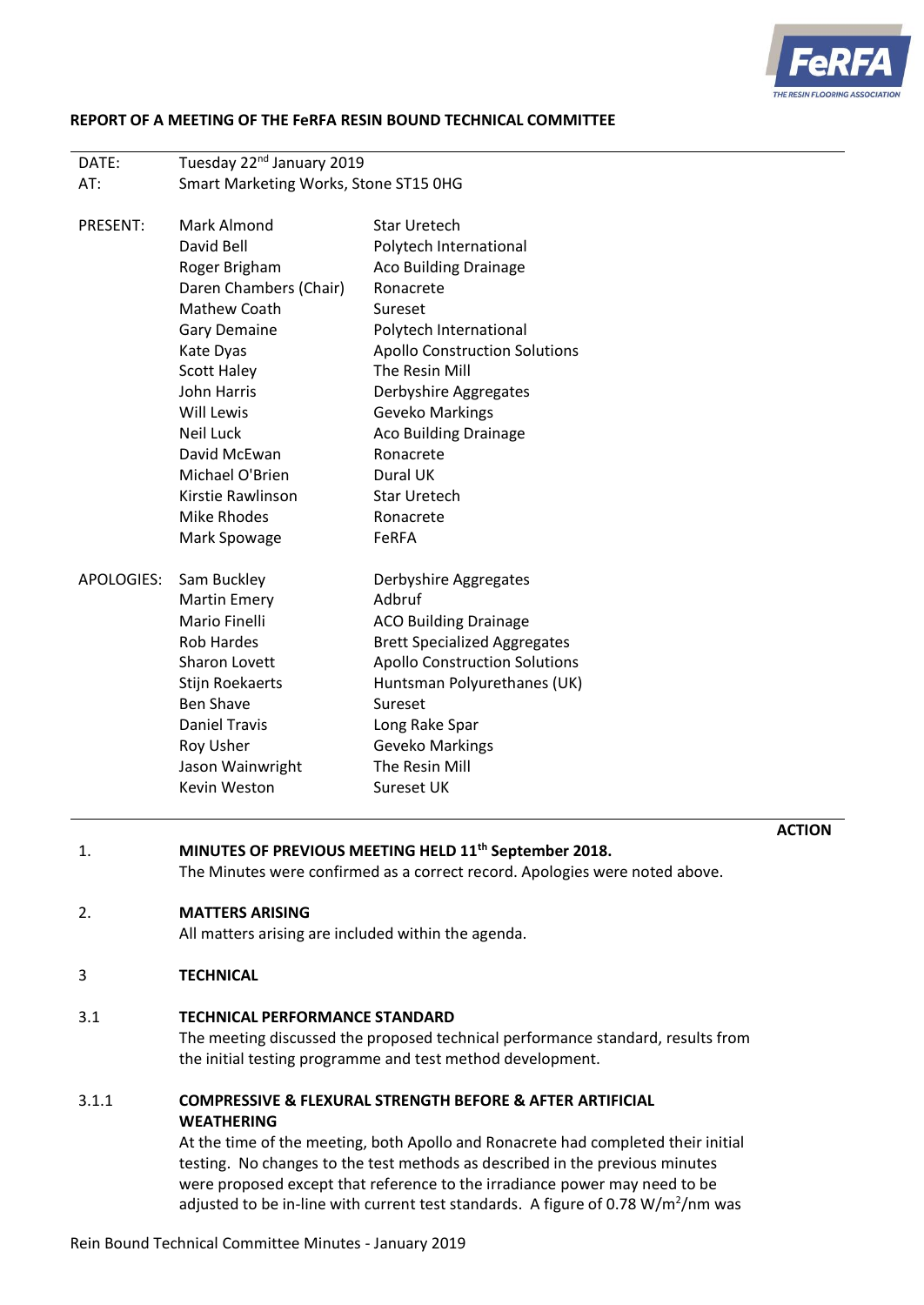

## **REPORT OF A MEETING OF THE FeRFA RESIN BOUND TECHNICAL COMMITTEE**

| DATE: | Tuesday 22 <sup>nd</sup> January 2019 |
|-------|---------------------------------------|
| AT:   | Smart Marketing Works, Stone ST15 0HG |

| PRESENT:   | Mark Almond            | <b>Star Uretech</b>                  |  |
|------------|------------------------|--------------------------------------|--|
|            | David Bell             | Polytech International               |  |
|            | Roger Brigham          | <b>Aco Building Drainage</b>         |  |
|            | Daren Chambers (Chair) | Ronacrete                            |  |
|            | <b>Mathew Coath</b>    | Sureset                              |  |
|            | Gary Demaine           | Polytech International               |  |
|            | Kate Dyas              | <b>Apollo Construction Solutions</b> |  |
|            | <b>Scott Haley</b>     | The Resin Mill                       |  |
|            | John Harris            | Derbyshire Aggregates                |  |
|            | Will Lewis             | Geveko Markings                      |  |
|            | Neil Luck              | <b>Aco Building Drainage</b>         |  |
|            | David McEwan           | Ronacrete                            |  |
|            | Michael O'Brien        | Dural UK                             |  |
|            | Kirstie Rawlinson      | <b>Star Uretech</b>                  |  |
|            | Mike Rhodes            | Ronacrete                            |  |
|            | Mark Spowage           | <b>FeRFA</b>                         |  |
| APOLOGIES: | Sam Buckley            | Derbyshire Aggregates                |  |
|            | <b>Martin Emery</b>    | Adbruf                               |  |
|            | Mario Finelli          | <b>ACO Building Drainage</b>         |  |
|            | <b>Rob Hardes</b>      | <b>Brett Specialized Aggregates</b>  |  |
|            | Sharon Lovett          | <b>Apollo Construction Solutions</b> |  |
|            | <b>Stijn Roekaerts</b> | Huntsman Polyurethanes (UK)          |  |
|            | <b>Ben Shave</b>       | Sureset                              |  |
|            | <b>Daniel Travis</b>   | Long Rake Spar                       |  |
|            | Roy Usher              | Geveko Markings                      |  |
|            | Jason Wainwright       | The Resin Mill                       |  |
|            | Kevin Weston           | Sureset UK                           |  |

**ACTION**

1. **MINUTES OF PREVIOUS MEETING HELD 11th September 2018.**

The Minutes were confirmed as a correct record. Apologies were noted above.

## 2. **MATTERS ARISING**

All matters arising are included within the agenda.

# 3 **TECHNICAL**

## 3.1 **TECHNICAL PERFORMANCE STANDARD**

The meeting discussed the proposed technical performance standard, results from the initial testing programme and test method development.

# 3.1.1 **COMPRESSIVE & FLEXURAL STRENGTH BEFORE & AFTER ARTIFICIAL WEATHERING**

At the time of the meeting, both Apollo and Ronacrete had completed their initial testing. No changes to the test methods as described in the previous minutes were proposed except that reference to the irradiance power may need to be adjusted to be in-line with current test standards. A figure of 0.78 W/m<sup>2</sup>/nm was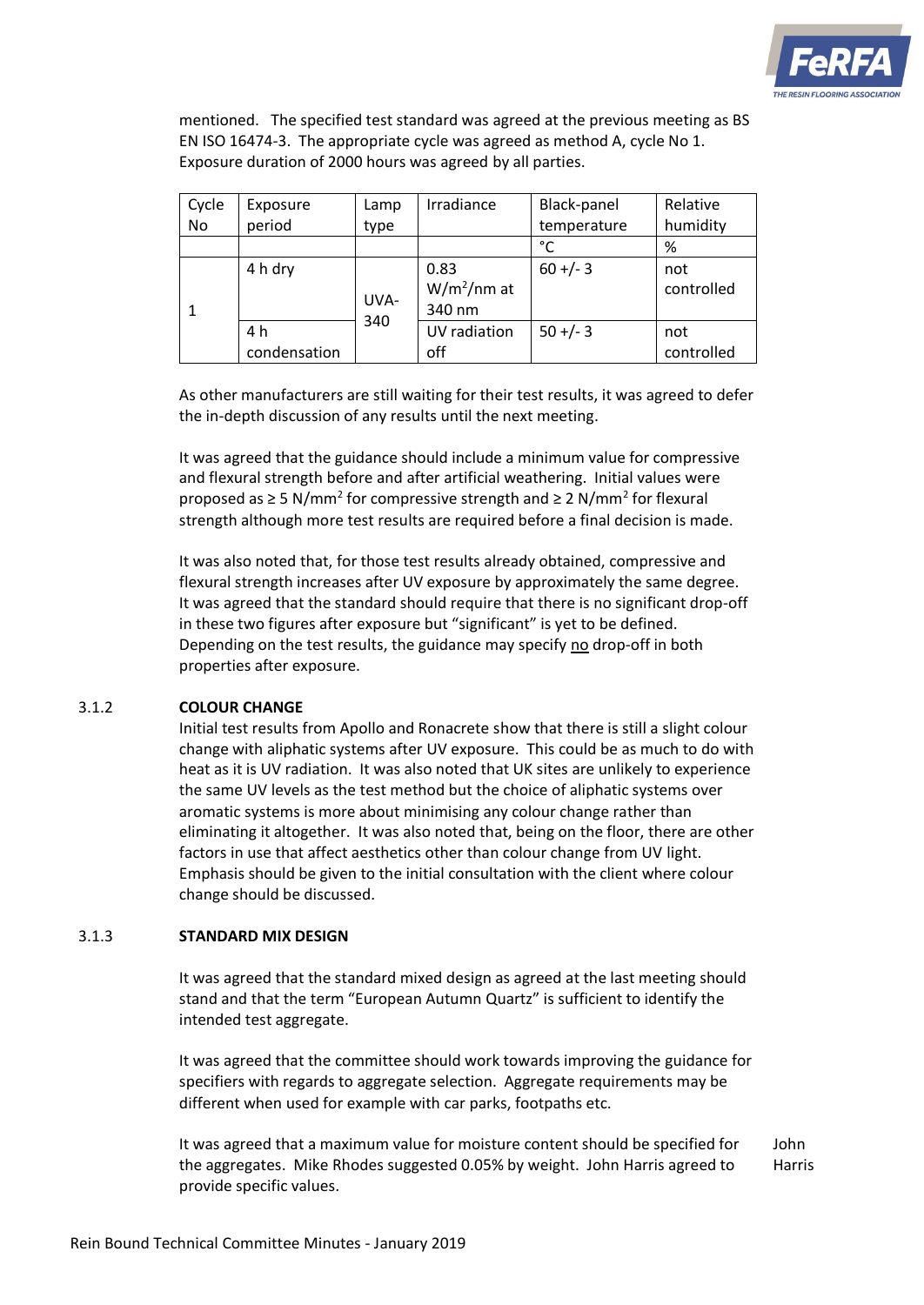

mentioned. The specified test standard was agreed at the previous meeting as BS EN ISO 16474-3. The appropriate cycle was agreed as method A, cycle No 1. Exposure duration of 2000 hours was agreed by all parties.

| Cycle | Exposure     | Lamp        | Irradiance    | Black-panel | Relative   |
|-------|--------------|-------------|---------------|-------------|------------|
| No    | period       | type        |               | temperature | humidity   |
|       |              |             |               | °C          | %          |
|       | 4 h dry      | UVA-<br>340 | 0.83          | $60 +/- 3$  | not        |
|       |              |             | $W/m^2/nm$ at |             | controlled |
|       |              |             | 340 nm        |             |            |
|       | 4 h          |             | UV radiation  | $50 +/- 3$  | not        |
|       | condensation |             | off           |             | controlled |

As other manufacturers are still waiting for their test results, it was agreed to defer the in-depth discussion of any results until the next meeting.

It was agreed that the guidance should include a minimum value for compressive and flexural strength before and after artificial weathering. Initial values were proposed as  $\geq$  5 N/mm<sup>2</sup> for compressive strength and  $\geq$  2 N/mm<sup>2</sup> for flexural strength although more test results are required before a final decision is made.

It was also noted that, for those test results already obtained, compressive and flexural strength increases after UV exposure by approximately the same degree. It was agreed that the standard should require that there is no significant drop-off in these two figures after exposure but "significant" is yet to be defined. Depending on the test results, the guidance may specify no drop-off in both properties after exposure.

# 3.1.2 **COLOUR CHANGE**

Initial test results from Apollo and Ronacrete show that there is still a slight colour change with aliphatic systems after UV exposure. This could be as much to do with heat as it is UV radiation. It was also noted that UK sites are unlikely to experience the same UV levels as the test method but the choice of aliphatic systems over aromatic systems is more about minimising any colour change rather than eliminating it altogether. It was also noted that, being on the floor, there are other factors in use that affect aesthetics other than colour change from UV light. Emphasis should be given to the initial consultation with the client where colour change should be discussed.

## 3.1.3 **STANDARD MIX DESIGN**

It was agreed that the standard mixed design as agreed at the last meeting should stand and that the term "European Autumn Quartz" is sufficient to identify the intended test aggregate.

It was agreed that the committee should work towards improving the guidance for specifiers with regards to aggregate selection. Aggregate requirements may be different when used for example with car parks, footpaths etc.

It was agreed that a maximum value for moisture content should be specified for the aggregates. Mike Rhodes suggested 0.05% by weight. John Harris agreed to provide specific values. John Harris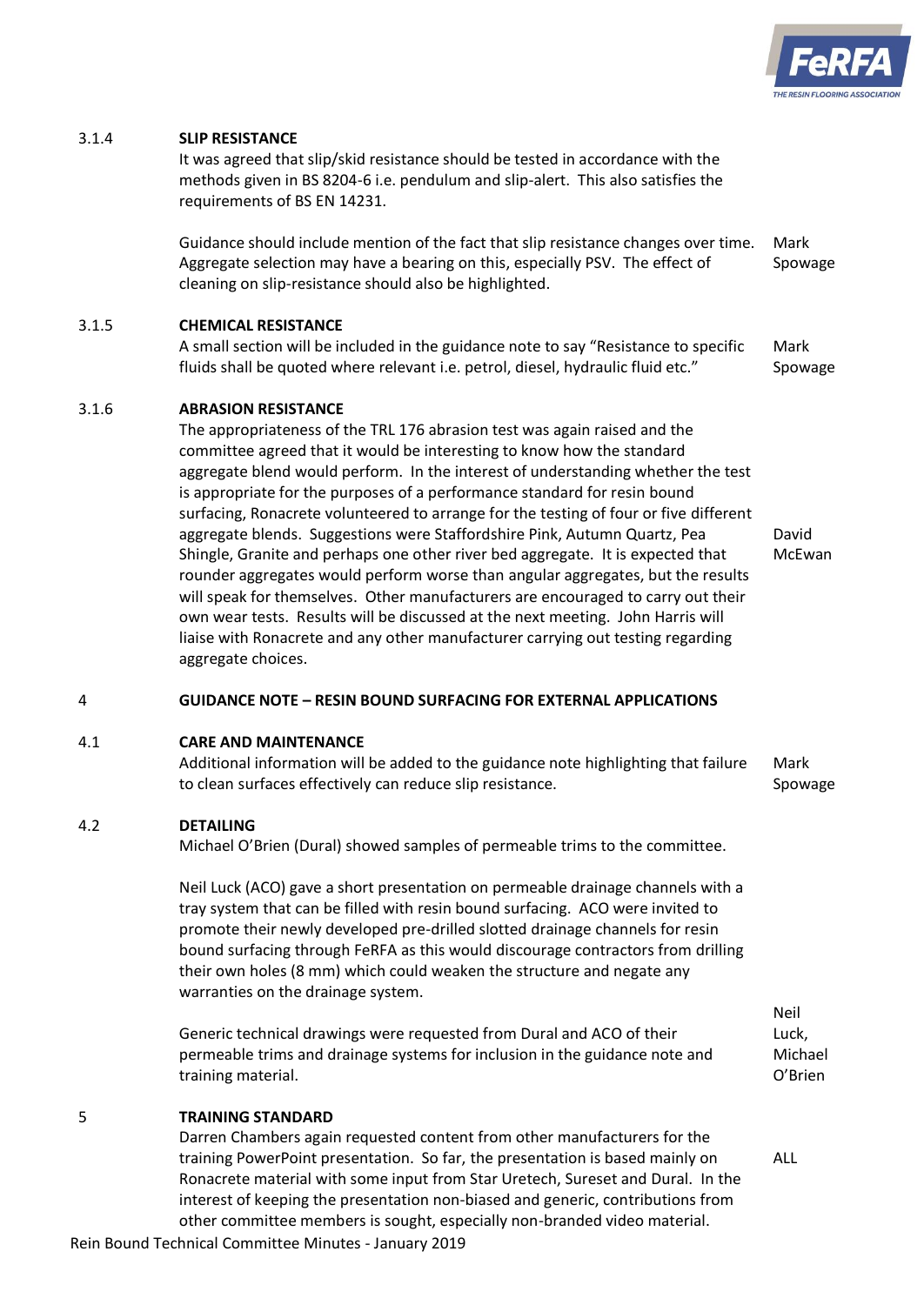

## 3.1.4 **SLIP RESISTANCE**

It was agreed that slip/skid resistance should be tested in accordance with the methods given in BS 8204-6 i.e. pendulum and slip-alert. This also satisfies the requirements of BS EN 14231.

Guidance should include mention of the fact that slip resistance changes over time. Aggregate selection may have a bearing on this, especially PSV. The effect of cleaning on slip-resistance should also be highlighted. Mark Spowage

# 3.1.5 **CHEMICAL RESISTANCE**

A small section will be included in the guidance note to say "Resistance to specific fluids shall be quoted where relevant i.e. petrol, diesel, hydraulic fluid etc." Mark Spowage

## 3.1.6 **ABRASION RESISTANCE**

The appropriateness of the TRL 176 abrasion test was again raised and the committee agreed that it would be interesting to know how the standard aggregate blend would perform. In the interest of understanding whether the test is appropriate for the purposes of a performance standard for resin bound surfacing, Ronacrete volunteered to arrange for the testing of four or five different aggregate blends. Suggestions were Staffordshire Pink, Autumn Quartz, Pea Shingle, Granite and perhaps one other river bed aggregate. It is expected that rounder aggregates would perform worse than angular aggregates, but the results will speak for themselves. Other manufacturers are encouraged to carry out their own wear tests. Results will be discussed at the next meeting. John Harris will liaise with Ronacrete and any other manufacturer carrying out testing regarding aggregate choices. David McEwan

## 4 **GUIDANCE NOTE – RESIN BOUND SURFACING FOR EXTERNAL APPLICATIONS**

#### 4.1 **CARE AND MAINTENANCE**

Additional information will be added to the guidance note highlighting that failure to clean surfaces effectively can reduce slip resistance. Mark Spowage

## 4.2 **DETAILING**

Michael O'Brien (Dural) showed samples of permeable trims to the committee.

Neil Luck (ACO) gave a short presentation on permeable drainage channels with a tray system that can be filled with resin bound surfacing. ACO were invited to promote their newly developed pre-drilled slotted drainage channels for resin bound surfacing through FeRFA as this would discourage contractors from drilling their own holes (8 mm) which could weaken the structure and negate any warranties on the drainage system.

Generic technical drawings were requested from Dural and ACO of their permeable trims and drainage systems for inclusion in the guidance note and training material.

# Neil Luck, Michael O'Brien

## 5 **TRAINING STANDARD**

Darren Chambers again requested content from other manufacturers for the training PowerPoint presentation. So far, the presentation is based mainly on Ronacrete material with some input from Star Uretech, Sureset and Dural. In the interest of keeping the presentation non-biased and generic, contributions from other committee members is sought, especially non-branded video material.

ALL